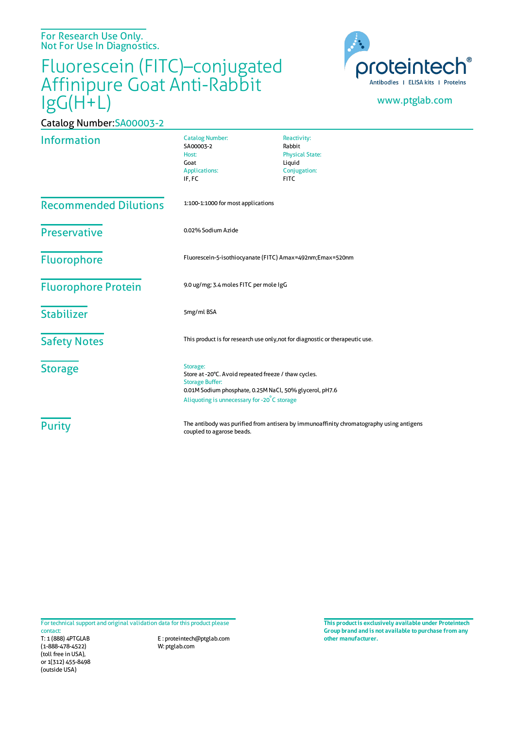For Research Use Only. Not For Use In Diagnostics.

Catalog Number:SA00003-2

## Fluorescein (FITC)–conjugated Affinipure Goat Anti-Rabbit IgG(H+L)



## www.ptglab.com

| <b>Information</b>           | <b>Catalog Number:</b><br>SA00003-2<br>Host:<br>Goat<br><b>Applications:</b><br>IF, FC                                                                                                               | Reactivity:<br>Rabbit<br><b>Physical State:</b><br>Liquid<br>Conjugation:<br><b>FITC</b> |
|------------------------------|------------------------------------------------------------------------------------------------------------------------------------------------------------------------------------------------------|------------------------------------------------------------------------------------------|
| <b>Recommended Dilutions</b> | 1:100-1:1000 for most applications                                                                                                                                                                   |                                                                                          |
| <b>Preservative</b>          | 0.02% Sodium Azide                                                                                                                                                                                   |                                                                                          |
| <b>Fluorophore</b>           | Fluorescein-5-isothiocyanate (FITC) Amax=492nm;Emax=520nm                                                                                                                                            |                                                                                          |
| <b>Fluorophore Protein</b>   | 9.0 ug/mg; 3.4 moles FITC per mole IgG                                                                                                                                                               |                                                                                          |
| <b>Stabilizer</b>            | 5mg/ml BSA                                                                                                                                                                                           |                                                                                          |
| <b>Safety Notes</b>          | This product is for research use only, not for diagnostic or therapeutic use.                                                                                                                        |                                                                                          |
| <b>Storage</b>               | Storage:<br>Store at -20°C. Avoid repeated freeze / thaw cycles.<br><b>Storage Buffer:</b><br>0.01M Sodium phosphate, 0.25M NaCl, 50% glycerol, pH7.6<br>Aliquoting is unnecessary for -20°C storage |                                                                                          |
| <b>Purity</b>                | The antibody was purified from antisera by immunoaffinity chromatography using antigens<br>coupled to agarose beads.                                                                                 |                                                                                          |

For technical support and original validation data for this product please contact:

T: 1 (888) 4PTGLAB (1-888-478-4522) (toll free in USA), or 1(312) 455-8498 (outside USA)

E : proteintech@ptglab.com W: ptglab.com

**This productis exclusively available under Proteintech Group brand and is not available to purchase from any other manufacturer.**